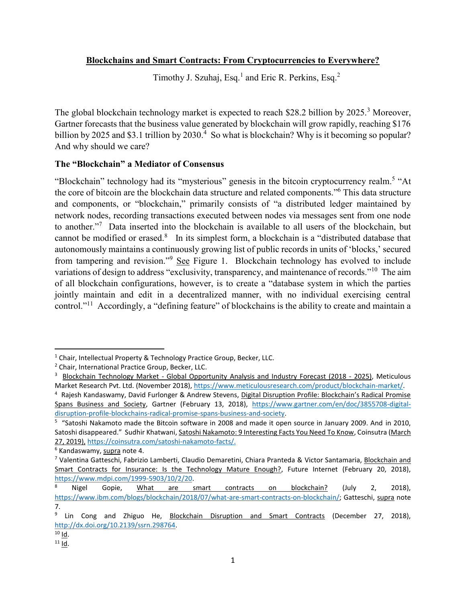# **Blockchains and Smart Contracts: From Cryptocurrencies to Everywhere?**

Timothy J. Szuhaj, Esq.<sup>1</sup> and Eric R. Perkins, Esq.<sup>2</sup>

The global blockchain technology market is expected to reach \$28.2 billion by 2025.<sup>3</sup> Moreover, Gartner forecasts that the business value generated by blockchain will grow rapidly, reaching \$176 billion by 2025 and \$3.1 trillion by 2030.<sup>4</sup> So what is blockchain? Why is it becoming so popular? And why should we care?

# **The "Blockchain" a Mediator of Consensus**

"Blockchain" technology had its "mysterious" genesis in the bitcoin cryptocurrency realm.<sup>5</sup> "At the core of bitcoin are the blockchain data structure and related components." <sup>6</sup> This data structure and components, or "blockchain," primarily consists of "a distributed ledger maintained by network nodes, recording transactions executed between nodes via messages sent from one node to another." <sup>7</sup> Data inserted into the blockchain is available to all users of the blockchain, but cannot be modified or erased.<sup>8</sup> In its simplest form, a blockchain is a "distributed database that autonomously maintains a continuously growing list of public records in units of 'blocks,' secured from tampering and revision."<sup>9</sup> See Figure 1. Blockchain technology has evolved to include variations of design to address "exclusivity, transparency, and maintenance of records."<sup>10</sup> The aim of all blockchain configurations, however, is to create a "database system in which the parties jointly maintain and edit in a decentralized manner, with no individual exercising central control."<sup>11</sup> Accordingly, a "defining feature" of blockchains is the ability to create and maintain a

 $\overline{\phantom{a}}$  $<sup>1</sup>$  Chair, Intellectual Property & Technology Practice Group, Becker, LLC.</sup>

<sup>2</sup> Chair, International Practice Group, Becker, LLC.

<sup>&</sup>lt;sup>3</sup> Blockchain Technology Market - Global Opportunity Analysis and Industry Forecast (2018 - 2025), Meticulous Market Research Pvt. Ltd. (November 2018), [https://www.meticulousresearch.com/product/blockchain-market/.](https://www.meticulousresearch.com/product/blockchain-market/)

<sup>&</sup>lt;sup>4</sup> Rajesh Kandaswamy, David Furlonger & Andrew Stevens, Digital Disruption Profile: Blockchain's Radical Promise Spans Business and Society, Gartner (February 13, 2018), [https://www.gartner.com/en/doc/3855708-digital](https://www.gartner.com/en/doc/3855708-digital-disruption-profile-blockchains-radical-promise-spans-business-and-society)[disruption-profile-blockchains-radical-promise-spans-business-and-society.](https://www.gartner.com/en/doc/3855708-digital-disruption-profile-blockchains-radical-promise-spans-business-and-society)

<sup>&</sup>lt;sup>5</sup> "Satoshi Nakamoto made the Bitcoin software in 2008 and made it open source in January 2009. And in 2010, Satoshi disappeared." Sudhir Khatwani, Satoshi Nakamoto: 9 Interesting Facts You Need To Know, Coinsutra (March 27, 2019), [https://coinsutra.com/satoshi-nakamoto-facts/.](https://coinsutra.com/satoshi-nakamoto-facts/)

<sup>6</sup> Kandaswamy, supra note 4.

<sup>7</sup> Valentina Gatteschi, Fabrizio Lamberti, Claudio Demaretini, Chiara Pranteda & Victor Santamaria, Blockchain and Smart Contracts for Insurance: Is the Technology Mature Enough?, Future Internet (February 20, 2018), [https://www.mdpi.com/1999-5903/10/2/20.](https://www.mdpi.com/1999-5903/10/2/20)

Nigel Gopie, What are smart contracts on blockchain? (July 2, 2018), [https://www.ibm.com/blogs/blockchain/2018/07/what-are-smart-contracts-on-blockchain/;](https://www.ibm.com/blogs/blockchain/2018/07/what-are-smart-contracts-on-blockchain/) Gatteschi, supra note 7.

<sup>&</sup>lt;sup>9</sup> Lin Cong and Zhiguo He, Blockchain Disruption and Smart Contracts (December 27, 2018), [http://dx.doi.org/10.2139/ssrn.298764.](http://dx.doi.org/10.2139/ssrn.298764)

 $10$  Id.

 $11$  Id.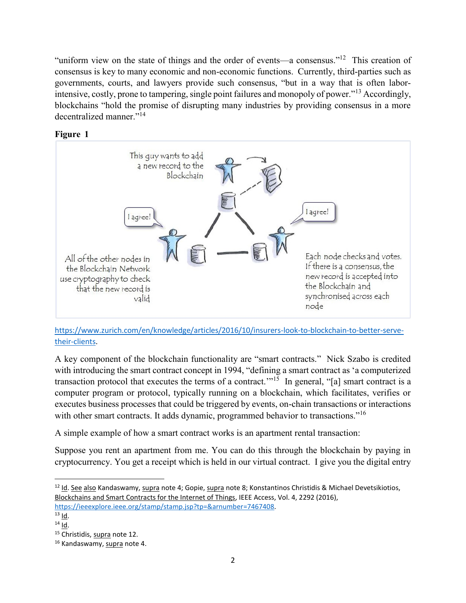"uniform view on the state of things and the order of events—a consensus."<sup>12</sup> This creation of consensus is key to many economic and non-economic functions. Currently, third-parties such as governments, courts, and lawyers provide such consensus, "but in a way that is often laborintensive, costly, prone to tampering, single point failures and monopoly of power."<sup>13</sup> Accordingly, blockchains "hold the promise of disrupting many industries by providing consensus in a more decentralized manner."<sup>14</sup>





[https://www.zurich.com/en/knowledge/articles/2016/10/insurers-look-to-blockchain-to-better-serve](https://www.zurich.com/en/knowledge/articles/2016/10/insurers-look-to-blockchain-to-better-serve-their-clients)[their-clients.](https://www.zurich.com/en/knowledge/articles/2016/10/insurers-look-to-blockchain-to-better-serve-their-clients)

A key component of the blockchain functionality are "smart contracts." Nick Szabo is credited with introducing the smart contract concept in 1994, "defining a smart contract as 'a computerized transaction protocol that executes the terms of a contract."<sup>15</sup> In general, "[a] smart contract is a computer program or protocol, typically running on a blockchain, which facilitates, verifies or executes business processes that could be triggered by events, on-chain transactions or interactions with other smart contracts. It adds dynamic, programmed behavior to transactions."<sup>16</sup>

A simple example of how a smart contract works is an apartment rental transaction:

Suppose you rent an apartment from me. You can do this through the blockchain by paying in cryptocurrency. You get a receipt which is held in our virtual contract. I give you the digital entry

 $\overline{\phantom{a}}$ 

 $12$  Id. See also Kandaswamy, supra note 4; Gopie, supra note 8; Konstantinos Christidis & Michael Devetsikiotios, Blockchains and Smart Contracts for the Internet of Things, IEEE Access, Vol. 4, 2292 (2016), [https://ieeexplore.ieee.org/stamp/stamp.jsp?tp=&arnumber=7467408.](https://ieeexplore.ieee.org/stamp/stamp.jsp?tp=&arnumber=7467408)

 $13$  Id.

 $14$  Id.

<sup>&</sup>lt;sup>15</sup> Christidis, supra note 12.

<sup>&</sup>lt;sup>16</sup> Kandaswamy, supra note 4.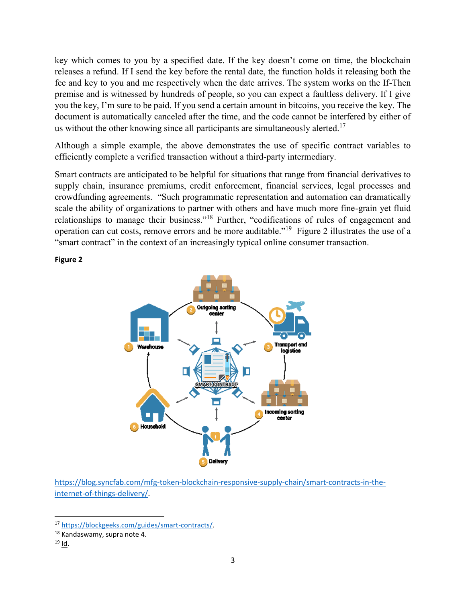key which comes to you by a specified date. If the key doesn't come on time, the blockchain releases a refund. If I send the key before the rental date, the function holds it releasing both the fee and key to you and me respectively when the date arrives. The system works on the If-Then premise and is witnessed by hundreds of people, so you can expect a faultless delivery. If I give you the key, I'm sure to be paid. If you send a certain amount in bitcoins, you receive the key. The document is automatically canceled after the time, and the code cannot be interfered by either of us without the other knowing since all participants are simultaneously alerted.<sup>17</sup>

Although a simple example, the above demonstrates the use of specific contract variables to efficiently complete a verified transaction without a third-party intermediary.

Smart contracts are anticipated to be helpful for situations that range from financial derivatives to supply chain, insurance premiums, credit enforcement, financial services, legal processes and crowdfunding agreements. "Such programmatic representation and automation can dramatically scale the ability of organizations to partner with others and have much more fine-grain yet fluid relationships to manage their business."<sup>18</sup> Further, "codifications of rules of engagement and operation can cut costs, remove errors and be more auditable."<sup>19</sup> Figure 2 illustrates the use of a "smart contract" in the context of an increasingly typical online consumer transaction.

**Figure 2**



[https://blog.syncfab.com/mfg-token-blockchain-responsive-supply-chain/smart-contracts-in-the](https://blog.syncfab.com/mfg-token-blockchain-responsive-supply-chain/smart-contracts-in-the-internet-of-things-delivery/)[internet-of-things-delivery/.](https://blog.syncfab.com/mfg-token-blockchain-responsive-supply-chain/smart-contracts-in-the-internet-of-things-delivery/)

 $\overline{\phantom{a}}$ 

<sup>17</sup> [https://blockgeeks.com/guides/smart-contracts/.](https://blockgeeks.com/guides/smart-contracts/)

<sup>18</sup> Kandaswamy, supra note 4.

<sup>19</sup> Id.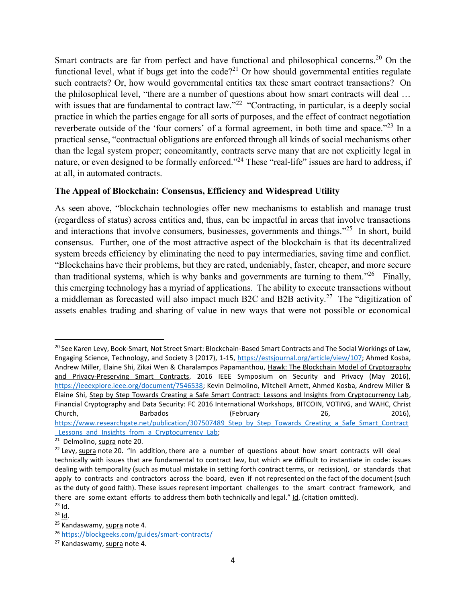Smart contracts are far from perfect and have functional and philosophical concerns.<sup>20</sup> On the functional level, what if bugs get into the code?<sup>21</sup> Or how should governmental entities regulate such contracts? Or, how would governmental entities tax these smart contract transactions? On the philosophical level, "there are a number of questions about how smart contracts will deal … with issues that are fundamental to contract law."<sup>22</sup> "Contracting, in particular, is a deeply social practice in which the parties engage for all sorts of purposes, and the effect of contract negotiation reverberate outside of the 'four corners' of a formal agreement, in both time and space."<sup>23</sup> In a practical sense, "contractual obligations are enforced through all kinds of social mechanisms other than the legal system proper; concomitantly, contracts serve many that are not explicitly legal in nature, or even designed to be formally enforced."<sup>24</sup> These "real-life" issues are hard to address, if at all, in automated contracts.

## **The Appeal of Blockchain: Consensus, Efficiency and Widespread Utility**

As seen above, "blockchain technologies offer new mechanisms to establish and manage trust (regardless of status) across entities and, thus, can be impactful in areas that involve transactions and interactions that involve consumers, businesses, governments and things."<sup>25</sup> In short, build consensus. Further, one of the most attractive aspect of the blockchain is that its decentralized system breeds efficiency by eliminating the need to pay intermediaries, saving time and conflict. "Blockchains have their problems, but they are rated, undeniably, faster, cheaper, and more secure than traditional systems, which is why banks and governments are turning to them.<sup> $26$ </sup> Finally, this emerging technology has a myriad of applications. The ability to execute transactions without a middleman as forecasted will also impact much B2C and B2B activity.<sup>27</sup> The "digitization of assets enables trading and sharing of value in new ways that were not possible or economical

 $\overline{a}$ 

<sup>&</sup>lt;sup>20</sup> See Karen Levy, Book-Smart, Not Street Smart: Blockchain-Based Smart Contracts and The Social Workings of Law, Engaging Science, Technology, and Society 3 (2017), 1-15, [https://estsjournal.org/article/view/107;](https://estsjournal.org/article/view/107) Ahmed Kosba, Andrew Miller, Elaine Shi, Zikai Wen & Charalampos Papamanthou, Hawk: The Blockchain Model of Cryptography and Privacy-Preserving Smart Contracts, 2016 IEEE Symposium on Security and Privacy (May 2016), [https://ieeexplore.ieee.org/document/7546538;](https://ieeexplore.ieee.org/document/7546538) Kevin Delmolino, Mitchell Arnett, Ahmed Kosba, Andrew Miller & Elaine Shi, Step by Step Towards Creating a Safe Smart Contract: Lessons and Insights from Cryptocurrency Lab, Financial Cryptography and Data Security: FC 2016 International Workshops, BITCOIN, VOTING, and WAHC, Christ Church, Barbados (February 26, 2016), [https://www.researchgate.net/publication/307507489\\_Step\\_by\\_Step\\_Towards\\_Creating\\_a\\_Safe\\_Smart\\_Contract](https://www.researchgate.net/publication/307507489_Step_by_Step_Towards_Creating_a_Safe_Smart_Contract_Lessons_and_Insights_from_a_Cryptocurrency_Lab) Lessons and Insights from a Cryptocurrency Lab;

<sup>&</sup>lt;sup>21</sup> Delmolino, supra note 20.

 $22$  Levy, supra note 20. "In addition, there are a number of questions about how smart contracts will deal technically with issues that are fundamental to contract law, but which are difficult to instantiate in code: issues dealing with temporality (such as mutual mistake in setting forth contract terms, or recission), or standards that apply to contracts and contractors across the board, even if not represented on the fact of the document (such as the duty of good faith). These issues represent important challenges to the smart contract framework, and there are some extant efforts to address them both technically and legal." Id. (citation omitted).  $23$  Id.

<sup>24</sup> Id.

<sup>&</sup>lt;sup>25</sup> Kandaswamy, supra note 4.

<sup>26</sup> <https://blockgeeks.com/guides/smart-contracts/>

<sup>27</sup> Kandaswamy, supra note 4.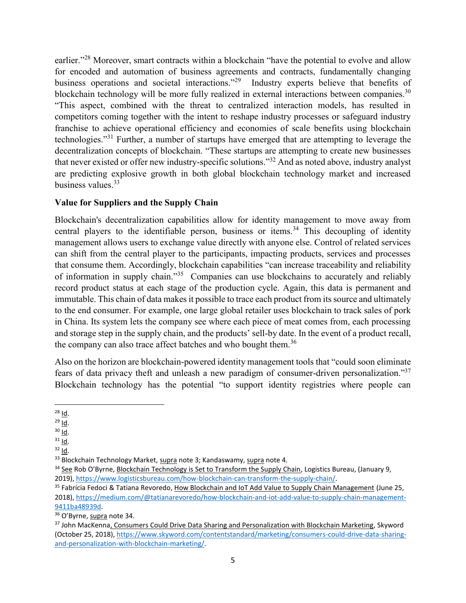earlier."<sup>28</sup> Moreover, smart contracts within a blockchain "have the potential to evolve and allow for encoded and automation of business agreements and contracts, fundamentally changing business operations and societal interactions."<sup>29</sup> Industry experts believe that benefits of blockchain technology will be more fully realized in external interactions between companies.<sup>30</sup> "This aspect, combined with the threat to centralized interaction models, has resulted in competitors coming together with the intent to reshape industry processes or safeguard industry franchise to achieve operational efficiency and economies of scale benefits using blockchain technologies."<sup>31</sup> Further, a number of startups have emerged that are attempting to leverage the decentralization concepts of blockchain. "These startups are attempting to create new businesses that never existed or offer new industry-specific solutions." <sup>32</sup> And as noted above, industry analyst are predicting explosive growth in both global blockchain technology market and increased business values.<sup>33</sup>

## **Value for Suppliers and the Supply Chain**

Blockchain's decentralization capabilities allow for identity management to move away from central players to the identifiable person, business or items.<sup>34</sup> This decoupling of identity management allows users to exchange value directly with anyone else. Control of related services can shift from the central player to the participants, impacting products, services and processes that consume them. Accordingly, blockchain capabilities "can increase traceability and reliability of information in supply chain."<sup>35</sup> Companies can use blockchains to accurately and reliably record product status at each stage of the production cycle. Again, this data is permanent and immutable. This chain of data makesit possible to trace each product from its source and ultimately to the end consumer. For example, one large global retailer uses blockchain to track sales of pork in China. Its system lets the company see where each piece of meat comes from, each processing and storage step in the supply chain, and the products' sell-by date. In the event of a product recall, the company can also trace affect batches and who bought them.<sup>36</sup>

Also on the horizon are blockchain-powered identity management tools that "could soon eliminate fears of data privacy theft and unleash a new paradigm of consumer-driven personalization."<sup>37</sup> Blockchain technology has the potential "to support identity registries where people can

 $31$  Id.

 $\overline{\phantom{a}}$  $^{28}$  Id.

 $29$  Id.

 $30$  Id.

 $32$  Id.

<sup>&</sup>lt;sup>33</sup> Blockchain Technology Market, supra note 3; Kandaswamy, supra note 4.

<sup>&</sup>lt;sup>34</sup> See Rob O'Byrne, Blockchain Technology is Set to Transform the Supply Chain, Logistics Bureau, (January 9, 2019), [https://www.logisticsbureau.com/how-blockchain-can-transform-the-supply-chain/.](https://www.logisticsbureau.com/how-blockchain-can-transform-the-supply-chain/)

<sup>&</sup>lt;sup>35</sup> Fabrícia Fedoci & Tatiana Revoredo, How Blockchain and IoT Add Value to Supply Chain Management (June 25, 2018), [https://medium.com/@tatianarevoredo/how-blockchain-and-iot-add-value-to-supply-chain-management-](https://medium.com/@tatianarevoredo/how-blockchain-and-iot-add-value-to-supply-chain-management-9411ba48939d)[9411ba48939d.](https://medium.com/@tatianarevoredo/how-blockchain-and-iot-add-value-to-supply-chain-management-9411ba48939d)

<sup>36</sup> O'Byrne, supra note 34.

<sup>&</sup>lt;sup>37</sup> John MacKenna, Consumers Could Drive Data Sharing and Personalization with Blockchain Marketing, Skyword (October 25, 2018)[, https://www.skyword.com/contentstandard/marketing/consumers-could-drive-data-sharing](https://www.skyword.com/contentstandard/marketing/consumers-could-drive-data-sharing-and-personalization-with-blockchain-marketing/)[and-personalization-with-blockchain-marketing/.](https://www.skyword.com/contentstandard/marketing/consumers-could-drive-data-sharing-and-personalization-with-blockchain-marketing/)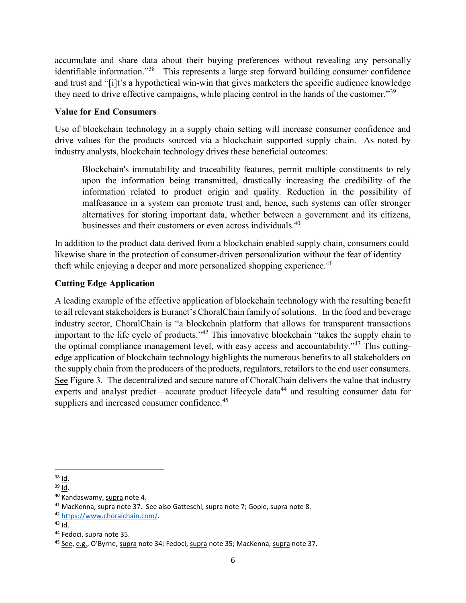accumulate and share data about their buying preferences without revealing any personally identifiable information."<sup>38</sup> This represents a large step forward building consumer confidence and trust and "[i]t's a hypothetical win-win that gives marketers the specific audience knowledge they need to drive effective campaigns, while placing control in the hands of the customer."<sup>39</sup>

## **Value for End Consumers**

Use of blockchain technology in a supply chain setting will increase consumer confidence and drive values for the products sourced via a blockchain supported supply chain. As noted by industry analysts, blockchain technology drives these beneficial outcomes:

Blockchain's immutability and traceability features, permit multiple constituents to rely upon the information being transmitted, drastically increasing the credibility of the information related to product origin and quality. Reduction in the possibility of malfeasance in a system can promote trust and, hence, such systems can offer stronger alternatives for storing important data, whether between a government and its citizens, businesses and their customers or even across individuals.<sup>40</sup>

In addition to the product data derived from a blockchain enabled supply chain, consumers could likewise share in the protection of consumer-driven personalization without the fear of identity theft while enjoying a deeper and more personalized shopping experience.<sup>41</sup>

# **Cutting Edge Application**

A leading example of the effective application of blockchain technology with the resulting benefit to all relevant stakeholders is Euranet's ChoralChain family of solutions. In the food and beverage industry sector, ChoralChain is "a blockchain platform that allows for transparent transactions important to the life cycle of products."<sup>42</sup> This innovative blockchain "takes the supply chain to the optimal compliance management level, with easy access and accountability."<sup>43</sup> This cuttingedge application of blockchain technology highlights the numerous benefits to all stakeholders on the supply chain from the producers of the products, regulators, retailors to the end user consumers. See Figure 3. The decentralized and secure nature of ChoralChain delivers the value that industry experts and analyst predict—accurate product lifecycle data<sup>44</sup> and resulting consumer data for suppliers and increased consumer confidence.<sup>45</sup>

 $\overline{\phantom{a}}$ <sup>38</sup> Id.

 $39$  Id.

<sup>40</sup> Kandaswamy, supra note 4.

<sup>&</sup>lt;sup>41</sup> MacKenna, supra note 37. See also Gatteschi, supra note 7; Gopie, supra note 8.

<sup>42</sup> [https://www.choralchain.com/.](https://www.choralchain.com/) 

 $43$  Id.

<sup>44</sup> Fedoci, supra note 35.

<sup>45</sup> See, e.g., O'Byrne, supra note 34; Fedoci, supra note 35; MacKenna, supra note 37.